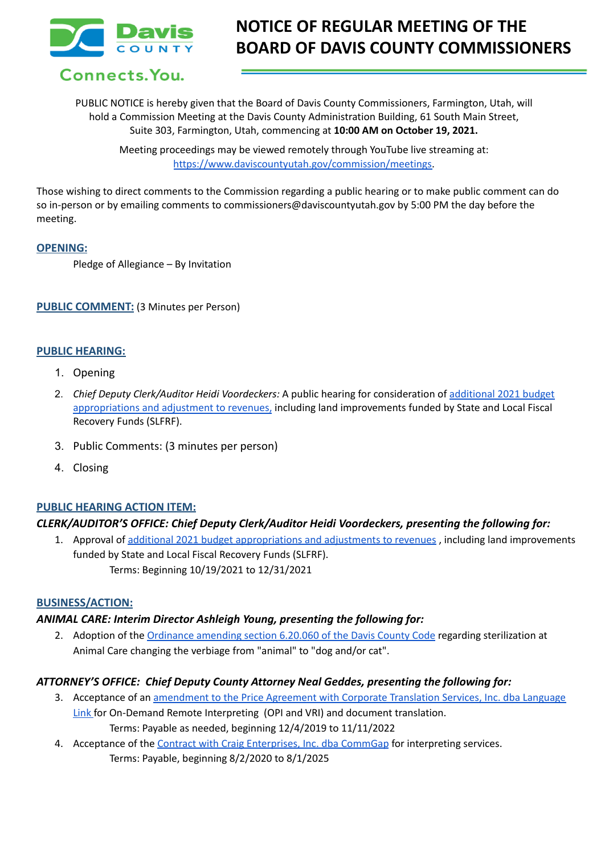

Connects. You.

# **NOTICE OF REGULAR MEETING OF THE BOARD OF DAVIS COUNTY COMMISSIONERS**

PUBLIC NOTICE is hereby given that the Board of Davis County Commissioners, Farmington, Utah, will hold a Commission Meeting at the Davis County Administration Building, 61 South Main Street, Suite 303, Farmington, Utah, commencing at **10:00 AM on October 19, 2021.**

> Meeting proceedings may be viewed remotely through YouTube live streaming at: [https://www.daviscountyutah.gov/commission/meetings.](https://www.daviscountyutah.gov/commission/meetings)

Those wishing to direct comments to the Commission regarding a public hearing or to make public comment can do so in-person or by emailing comments to commissioners@daviscountyutah.gov by 5:00 PM the day before the meeting.

### **OPENING:**

Pledge of Allegiance – By Invitation

### **PUBLIC COMMENT:** (3 Minutes per Person)

### **PUBLIC HEARING:**

- 1. Opening
- 2. *Chief Deputy Clerk/Auditor Heidi Voordeckers:* A public hearing for consideration of [additional](https://drive.google.com/file/d/1Ffe_Vt3Nk4o7okMVxfqnxkWrR8zdErLP/view?usp=sharing) 2021 budget [appropriations](https://drive.google.com/file/d/1Ffe_Vt3Nk4o7okMVxfqnxkWrR8zdErLP/view?usp=sharing) and adjustment to revenues, including land improvements funded by State and Local Fiscal Recovery Funds (SLFRF).
- 3. Public Comments: (3 minutes per person)
- 4. Closing

### **PUBLIC HEARING ACTION ITEM:**

### *CLERK/AUDITOR'S OFFICE: Chief Deputy Clerk/Auditor Heidi Voordeckers, presenting the following for:*

1. Approval of additional 2021 budget [appropriations](https://drive.google.com/file/d/1Ffe_Vt3Nk4o7okMVxfqnxkWrR8zdErLP/view?usp=sharing) and adjustments to revenues , including land improvements funded by State and Local Fiscal Recovery Funds (SLFRF). Terms: Beginning 10/19/2021 to 12/31/2021

#### **BUSINESS/ACTION:**

### *ANIMAL CARE: Interim Director Ashleigh Young, presenting the following for:*

2. Adoption of the [Ordinance](https://docs.google.com/document/d/1ZIuVU26ax-F919bdXA0PCv5OkbfdMbaW/edit?usp=sharing&ouid=106668054259493981190&rtpof=true&sd=true) amending section 6.20.060 of the Davis County Code regarding sterilization at Animal Care changing the verbiage from "animal" to "dog and/or cat".

### *ATTORNEY'S OFFICE: Chief Deputy County Attorney Neal Geddes, presenting the following for:*

- 3. Acceptance of an [amendment](https://drive.google.com/file/d/1m8jEsVnt1UqyI0lU1m0ODG6PvTCjEF5b/view?usp=sharing) to the Price Agreement with Corporate Translation Services, Inc. dba Language [Link](https://drive.google.com/file/d/1m8jEsVnt1UqyI0lU1m0ODG6PvTCjEF5b/view?usp=sharing) for On-Demand Remote Interpreting (OPI and VRI) and document translation. Terms: Payable as needed, beginning 12/4/2019 to 11/11/2022
- 4. Acceptance of the Contract with Craig [Enterprises,](https://drive.google.com/file/d/14bZDQ8WxhJjUWKNdat-4fc3litU3bnqR/view?usp=sharing) Inc. dba CommGap for interpreting services. Terms: Payable, beginning 8/2/2020 to 8/1/2025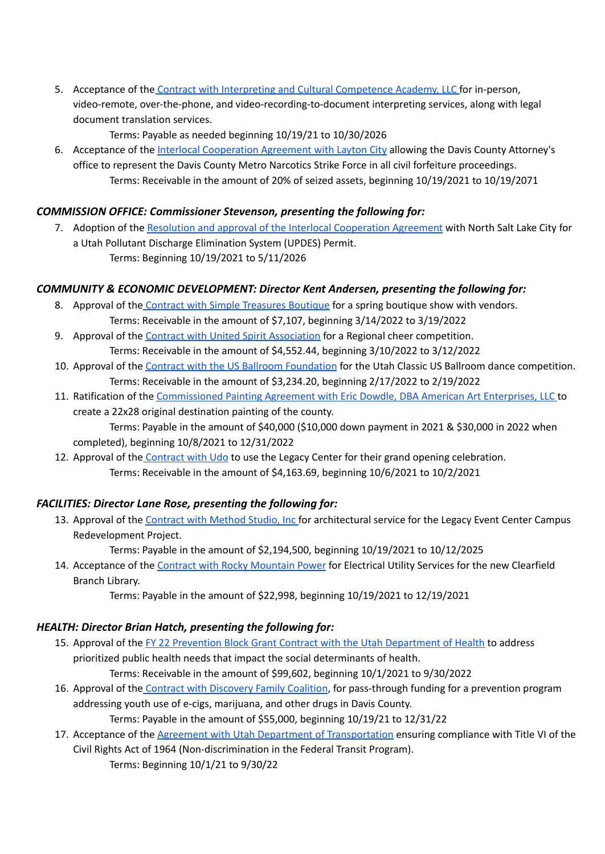5. Acceptance of the Contract with Interpreting and Cultural [Competence](https://drive.google.com/file/d/13z4T0rh6QcyMLMGApEq-8GO_SGkmu3e0/view?usp=sharing) Academy, LLC for in-person, video-remote, over-the-phone, and video-recording-to-document interpreting services, along with legal document translation services.

Terms: Payable as needed beginning 10/19/21 to 10/30/2026

6. Acceptance of the Interlocal [Cooperation](https://drive.google.com/file/d/1TKZ57uzXMSNN2Kj9eDy1bWD4P4TFbHeJ/view?usp=sharing) Agreement with Layton City allowing the Davis County Attorney's office to represent the Davis County Metro Narcotics Strike Force in all civil forfeiture proceedings. Terms: Receivable in the amount of 20% of seized assets, beginning 10/19/2021 to 10/19/2071

## *COMMISSION OFFICE: Commissioner Stevenson, presenting the following for:*

7. Adoption of the Resolution and approval of the Interlocal [Cooperation](https://drive.google.com/file/d/1Sa3fyTSiK0PUDEa2vvX-rszY3P4IMcWi/view?usp=sharing) Agreement with North Salt Lake City for a Utah Pollutant Discharge Elimination System (UPDES) Permit. Terms: Beginning 10/19/2021 to 5/11/2026

# *COMMUNITY & ECONOMIC DEVELOPMENT: Director Kent Andersen, presenting the following for:*

- 8. Approval of the Contract with Simple [Treasures](https://drive.google.com/file/d/18WwHZE4uVB5odG8j50Gxm21LuFDv_5cY/view?usp=sharing) Boutique for a spring boutique show with vendors. Terms: Receivable in the amount of \$7,107, beginning 3/14/2022 to 3/19/2022
- 9. Approval of the Contract with United Spirit [Association](https://drive.google.com/file/d/1u21ohObXYbwJP8Tk3vz0YGR7l_HL_2Ni/view?usp=sharing) for a Regional cheer competition. Terms: Receivable in the amount of \$4,552.44, beginning 3/10/2022 to 3/12/2022
- 10. Approval of the Contract with the US Ballroom [Foundation](https://drive.google.com/file/d/1EEVj7ewh4Aeza5rWJfoXSa_vT_dY25kr/view?usp=sharing) for the Utah Classic US Ballroom dance competition. Terms: Receivable in the amount of \$3,234.20, beginning 2/17/2022 to 2/19/2022
- 11. Ratification of the [Commissioned](https://drive.google.com/file/d/1dFHnVbIuBaY4PimSoO4gRyJca81l9W0Y/view?usp=sharing) Painting Agreement with Eric Dowdle, DBA American Art Enterprises, LLC to create a 22x28 original destination painting of the county. Terms: Payable in the amount of \$40,000 (\$10,000 down payment in 2021 & \$30,000 in 2022 when completed), beginning 10/8/2021 to 12/31/2022
- 12. Approval of the [Contract](https://drive.google.com/file/d/16DND46ySGtro0CXwWHpK186liwwfdJPv/view?usp=sharing) with Udo to use the Legacy Center for their grand opening celebration. Terms: Receivable in the amount of \$4,163.69, beginning 10/6/2021 to 10/2/2021

# *FACILITIES: Director Lane Rose, presenting the following for:*

13. Approval of the [Contract](https://drive.google.com/file/d/1GnaE-fCQduQI-K7nvXwc7MEwXlvyHlcq/view?usp=sharing) with Method Studio, Inc for architectural service for the Legacy Event Center Campus Redevelopment Project.

Terms: Payable in the amount of \$2,194,500, beginning 10/19/2021 to 10/12/2025

- 14. Acceptance of the Contract with Rocky [Mountain](https://drive.google.com/file/d/18xcgtw6Ratko7EPeaUiohqOHP5l3OO0e/view?usp=sharing) Power for Electrical Utility Services for the new Clearfield Branch Library.
	- Terms: Payable in the amount of \$22,998, beginning 10/19/2021 to 12/19/2021

## *HEALTH: Director Brian Hatch, presenting the following for:*

15. Approval of the FY 22 Prevention Block Grant Contract with the Utah [Department](https://drive.google.com/file/d/19jzupHQvZWGgPkXfgI2DrQmRU8m2JiNM/view?usp=sharing) of Health to address prioritized public health needs that impact the social determinants of health.

Terms: Receivable in the amount of \$99,602, beginning 10/1/2021 to 9/30/2022

- 16. Approval of the Contract with [Discovery](https://drive.google.com/file/d/1j0OFWu-G7FfF3ho2PNhj4uglmiUtBLsH/view?usp=sharing) Family Coalition, for pass-through funding for a prevention program addressing youth use of e-cigs, marijuana, and other drugs in Davis County. Terms: Payable in the amount of \$55,000, beginning 10/19/21 to 12/31/22
- 17. Acceptance of the **Agreement with Utah Department of [Transportation](https://drive.google.com/file/d/17yRsRhOmQH2p-OXZI9qjkfhylglFCGBy/view?usp=sharing)** ensuring compliance with Title VI of the Civil Rights Act of 1964 (Non-discrimination in the Federal Transit Program). Terms: Beginning 10/1/21 to 9/30/22